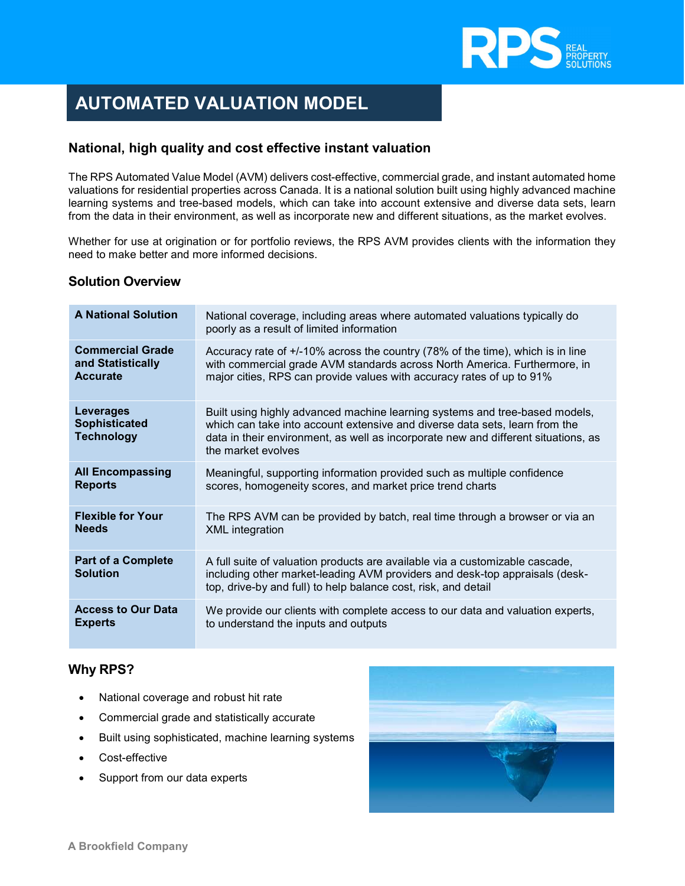

# AUTOMATED VALUATION MODEL

## National, high quality and cost effective instant valuation

The RPS Automated Value Model (AVM) delivers cost-effective, commercial grade, and instant automated home valuations for residential properties across Canada. It is a national solution built using highly advanced machine learning systems and tree-based models, which can take into account extensive and diverse data sets, learn from the data in their environment, as well as incorporate new and different situations, as the market evolves.

Whether for use at origination or for portfolio reviews, the RPS AVM provides clients with the information they need to make better and more informed decisions.

#### Solution Overview

| <b>A National Solution</b>                             | National coverage, including areas where automated valuations typically do<br>poorly as a result of limited information                                                                                                                                                |
|--------------------------------------------------------|------------------------------------------------------------------------------------------------------------------------------------------------------------------------------------------------------------------------------------------------------------------------|
| <b>Commercial Grade</b>                                | Accuracy rate of +/-10% across the country (78% of the time), which is in line                                                                                                                                                                                         |
| and Statistically                                      | with commercial grade AVM standards across North America. Furthermore, in                                                                                                                                                                                              |
| <b>Accurate</b>                                        | major cities, RPS can provide values with accuracy rates of up to 91%                                                                                                                                                                                                  |
| Leverages<br><b>Sophisticated</b><br><b>Technology</b> | Built using highly advanced machine learning systems and tree-based models,<br>which can take into account extensive and diverse data sets, learn from the<br>data in their environment, as well as incorporate new and different situations, as<br>the market evolves |
| <b>All Encompassing</b>                                | Meaningful, supporting information provided such as multiple confidence                                                                                                                                                                                                |
| <b>Reports</b>                                         | scores, homogeneity scores, and market price trend charts                                                                                                                                                                                                              |
| <b>Flexible for Your</b>                               | The RPS AVM can be provided by batch, real time through a browser or via an                                                                                                                                                                                            |
| <b>Needs</b>                                           | <b>XML</b> integration                                                                                                                                                                                                                                                 |
| <b>Part of a Complete</b><br><b>Solution</b>           | A full suite of valuation products are available via a customizable cascade,<br>including other market-leading AVM providers and desk-top appraisals (desk-<br>top, drive-by and full) to help balance cost, risk, and detail                                          |
| <b>Access to Our Data</b>                              | We provide our clients with complete access to our data and valuation experts,                                                                                                                                                                                         |
| <b>Experts</b>                                         | to understand the inputs and outputs                                                                                                                                                                                                                                   |

#### Why RPS?

- National coverage and robust hit rate
- Commercial grade and statistically accurate
- Built using sophisticated, machine learning systems
- Cost-effective
- Support from our data experts